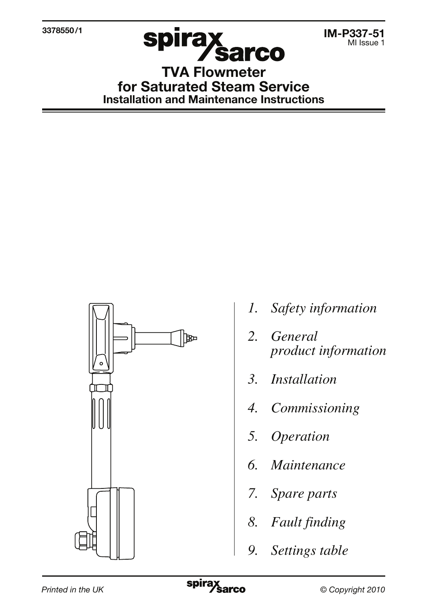3378550 /1



IM-P337-51 MI Issue 1

TVA Flowmeter for Saturated Steam Service Installation and Maintenance Instructions



- *1. Safety information*
- *2. General product information*
- *3. Installation*
- *4. Commissioning*
- *5. Operation*
- *6. Maintenance*
- *7. Spare parts*
- *8. Fault finding*
- *9. Settings table*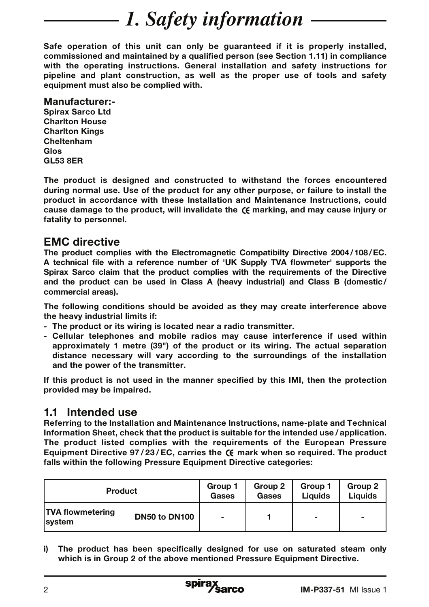# *1. Safety information*

Safe operation of this unit can only be guaranteed if it is properly installed, commissioned and maintained by a qualified person (see Section 1.11) in compliance with the operating instructions. General installation and safety instructions for pipeline and plant construction, as well as the proper use of tools and safety equipment must also be complied with.

#### Manufacturer:-

Spirax Sarco Ltd Charlton House Charlton Kings Cheltenham Glos GL53 8ER

The product is designed and constructed to withstand the forces encountered during normal use. Use of the product for any other purpose, or failure to install the product in accordance with these Installation and Maintenance Instructions, could cause damage to the product, will invalidate the  $\zeta$  marking, and may cause injury or fatality to personnel.

## EMC directive

The product complies with the Electromagnetic Compatibilty Directive 2004 / 108 / EC. A technical file with a reference number of 'UK Supply TVA flowmeter' supports the Spirax Sarco claim that the product complies with the requirements of the Directive and the product can be used in Class A (heavy industrial) and Class B (domestic/ commercial areas).

The following conditions should be avoided as they may create interference above the heavy industrial limits if:

- The product or its wiring is located near a radio transmitter.
- Cellular telephones and mobile radios may cause interference if used within approximately 1 metre (39") of the product or its wiring. The actual separation distance necessary will vary according to the surroundings of the installation and the power of the transmitter.

If this product is not used in the manner specified by this IMI, then the protection provided may be impaired.

## 1.1 Intended use

Referring to the Installation and Maintenance Instructions, name-plate and Technical Information Sheet, check that the product is suitable for the intended use / application. The product listed complies with the requirements of the European Pressure Equipment Directive  $97/23$ /EC, carries the  $\epsilon$  mark when so required. The product falls within the following Pressure Equipment Directive categories:

| <b>Product</b>                                             | Group 1                  | Group 2 | Group 1                  | Group 2        |
|------------------------------------------------------------|--------------------------|---------|--------------------------|----------------|
|                                                            | Gases                    | Gases   | Liauids                  | Liauids        |
| <b>TVA flowmetering</b><br>DN50 to DN100<br><b>Isystem</b> | $\overline{\phantom{0}}$ |         | $\overline{\phantom{a}}$ | $\blacksquare$ |

i) The product has been specifically designed for use on saturated steam only which is in Group 2 of the above mentioned Pressure Equipment Directive.

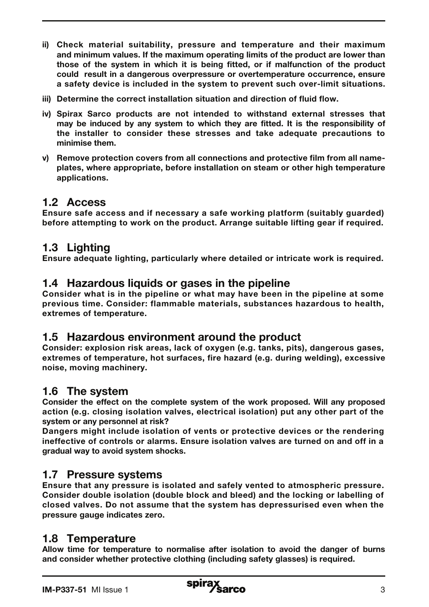- ii) Check material suitability, pressure and temperature and their maximum and minimum values. If the maximum operating limits of the product are lower than those of the system in which it is being fitted, or if malfunction of the product could result in a dangerous overpressure or overtemperature occurrence, ensure a safety device is included in the system to prevent such over-limit situations.
- iii) Determine the correct installation situation and direction of fluid flow.
- iv) Spirax Sarco products are not intended to withstand external stresses that may be induced by any system to which they are fitted. It is the responsibility of the installer to consider these stresses and take adequate precautions to minimise them.
- v) Remove protection covers from all connections and protective film from all nameplates, where appropriate, before installation on steam or other high temperature applications.

## 1.2 Access

Ensure safe access and if necessary a safe working platform (suitably guarded) before attempting to work on the product. Arrange suitable lifting gear if required.

## 1.3 Lighting

Ensure adequate lighting, particularly where detailed or intricate work is required.

### 1.4 Hazardous liquids or gases in the pipeline

Consider what is in the pipeline or what may have been in the pipeline at some previous time. Consider: flammable materials, substances hazardous to health, extremes of temperature.

### 1.5 Hazardous environment around the product

Consider: explosion risk areas, lack of oxygen (e.g. tanks, pits), dangerous gases, extremes of temperature, hot surfaces, fire hazard (e.g. during welding), excessive noise, moving machinery.

## 1.6 The system

Consider the effect on the complete system of the work proposed. Will any proposed action (e.g. closing isolation valves, electrical isolation) put any other part of the system or any personnel at risk?

Dangers might include isolation of vents or protective devices or the rendering ineffective of controls or alarms. Ensure isolation valves are turned on and off in a gradual way to avoid system shocks.

# 1.7 Pressure systems

Ensure that any pressure is isolated and safely vented to atmospheric pressure. Consider double isolation (double block and bleed) and the locking or labelling of closed valves. Do not assume that the system has depressurised even when the pressure gauge indicates zero.

### 1.8 Temperature

Allow time for temperature to normalise after isolation to avoid the danger of burns and consider whether protective clothing (including safety glasses) is required.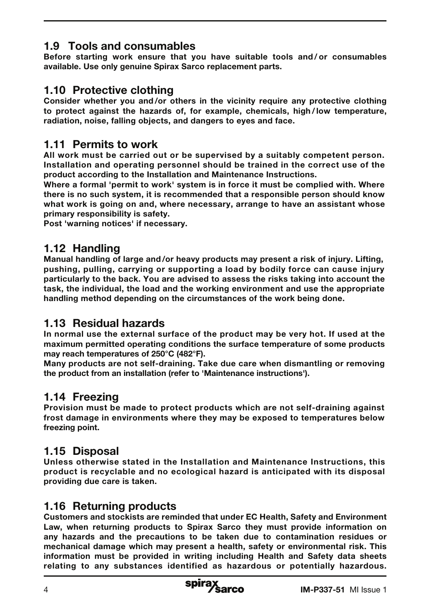# 1.9 Tools and consumables

Before starting work ensure that you have suitable tools and / or consumables available. Use only genuine Spirax Sarco replacement parts.

# 1.10 Protective clothing

Consider whether you and /or others in the vicinity require any protective clothing to protect against the hazards of, for example, chemicals, high / low temperature, radiation, noise, falling objects, and dangers to eyes and face.

# 1.11 Permits to work

All work must be carried out or be supervised by a suitably competent person. Installation and operating personnel should be trained in the correct use of the product according to the Installation and Maintenance Instructions.

Where a formal 'permit to work' system is in force it must be complied with. Where there is no such system, it is recommended that a responsible person should know what work is going on and, where necessary, arrange to have an assistant whose primary responsibility is safety.

Post 'warning notices' if necessary.

# 1.12 Handling

Manual handling of large and /or heavy products may present a risk of injury. Lifting, pushing, pulling, carrying or supporting a load by bodily force can cause injury particularly to the back. You are advised to assess the risks taking into account the task, the individual, the load and the working environment and use the appropriate handling method depending on the circumstances of the work being done.

## 1.13 Residual hazards

In normal use the external surface of the product may be very hot. If used at the maximum permitted operating conditions the surface temperature of some products may reach temperatures of 250°C (482°F).

Many products are not self-draining. Take due care when dismantling or removing the product from an installation (refer to 'Maintenance instructions').

# 1.14 Freezing

Provision must be made to protect products which are not self-draining against frost damage in environments where they may be exposed to temperatures below freezing point.

# 1.15 Disposal

Unless otherwise stated in the Installation and Maintenance Instructions, this product is recyclable and no ecological hazard is anticipated with its disposal providing due care is taken.

## 1.16 Returning products

Customers and stockists are reminded that under EC Health, Safety and Environment Law, when returning products to Spirax Sarco they must provide information on any hazards and the precautions to be taken due to contamination residues or mechanical damage which may present a health, safety or environmental risk. This information must be provided in writing including Health and Safety data sheets relating to any substances identified as hazardous or potentially hazardous.

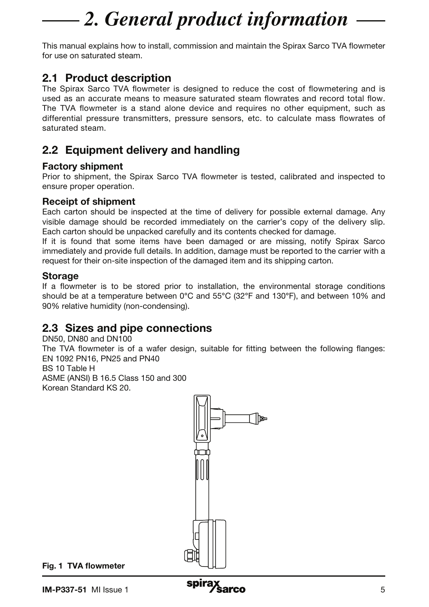# *2. General product information*

This manual explains how to install, commission and maintain the Spirax Sarco TVA flowmeter for use on saturated steam.

# 2.1 Product description

The Spirax Sarco TVA flowmeter is designed to reduce the cost of flowmetering and is used as an accurate means to measure saturated steam flowrates and record total flow. The TVA flowmeter is a stand alone device and requires no other equipment, such as differential pressure transmitters, pressure sensors, etc. to calculate mass flowrates of saturated steam.

# 2.2 Equipment delivery and handling

### Factory shipment

Prior to shipment, the Spirax Sarco TVA flowmeter is tested, calibrated and inspected to ensure proper operation.

### Receipt of shipment

Each carton should be inspected at the time of delivery for possible external damage. Any visible damage should be recorded immediately on the carrier's copy of the delivery slip. Each carton should be unpacked carefully and its contents checked for damage.

If it is found that some items have been damaged or are missing, notify Spirax Sarco immediately and provide full details. In addition, damage must be reported to the carrier with a request for their on-site inspection of the damaged item and its shipping carton.

#### **Storage**

If a flowmeter is to be stored prior to installation, the environmental storage conditions should be at a temperature between 0°C and 55°C (32°F and 130°F), and between 10% and 90% relative humidity (non-condensing).

# 2.3 Sizes and pipe connections

DN50, DN80 and DN100 The TVA flowmeter is of a wafer design, suitable for fitting between the following flanges: EN 1092 PN16, PN25 and PN40 BS 10 Table H ASME (ANSI) B 16.5 Class 150 and 300 Korean Standard KS 20.

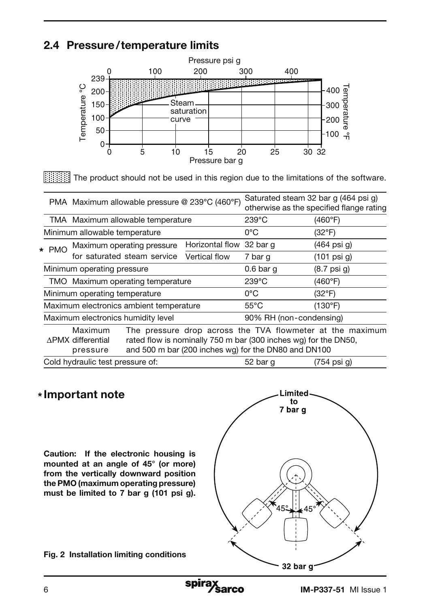# 2.4 Pressure/temperature limits



The product should not be used in this region due to the limitations of the software.

|                                         |                                                 | PMA Maximum allowable pressure @ 239°C (460°F) |                          | Saturated steam 32 bar q (464 psi q)                                                                                    | otherwise as the specified flange rating                  |
|-----------------------------------------|-------------------------------------------------|------------------------------------------------|--------------------------|-------------------------------------------------------------------------------------------------------------------------|-----------------------------------------------------------|
|                                         |                                                 | TMA Maximum allowable temperature              |                          | $239^{\circ}$ C                                                                                                         | (460°F)                                                   |
|                                         | Minimum allowable temperature                   |                                                |                          | 0°C                                                                                                                     | $(32^{\circ}F)$                                           |
| $\star$ PMO                             |                                                 | Maximum operating pressure                     | Horizontal flow 32 bar q |                                                                                                                         | (464 psi g)                                               |
| for saturated steam service             |                                                 | Vertical flow                                  | 7 bar q                  | $(101 \text{ psi } q)$                                                                                                  |                                                           |
|                                         | Minimum operating pressure                      |                                                |                          | $0.6$ bar g                                                                                                             | $(8.7 \text{ psi } q)$                                    |
|                                         |                                                 | TMO Maximum operating temperature              |                          | $239^{\circ}$ C                                                                                                         | (460°F)                                                   |
| Minimum operating temperature           |                                                 | $0^{\circ}$ C                                  | $(32^{\circ}F)$          |                                                                                                                         |                                                           |
| Maximum electronics ambient temperature |                                                 |                                                | $55^{\circ}$ C           | (130°F)                                                                                                                 |                                                           |
| Maximum electronics humidity level      |                                                 | 90% RH (non-condensing)                        |                          |                                                                                                                         |                                                           |
|                                         | Maximum<br><b>APMX</b> differential<br>pressure |                                                |                          | rated flow is nominally 750 m bar (300 inches wg) for the DN50,<br>and 500 m bar (200 inches wg) for the DN80 and DN100 | The pressure drop across the TVA flowmeter at the maximum |
|                                         | Cold hydraulic test pressure of:                |                                                |                          | 52 bar q                                                                                                                | $(754 \text{ psi } q)$                                    |

# \* Important note

Caution: If the electronic housing is mounted at an angle of 45° (or more) from the vertically downward position the PMO (maximum operating pressure) must be limited to 7 bar g (101 psi g).

Fig. 2 Installation limiting conditions



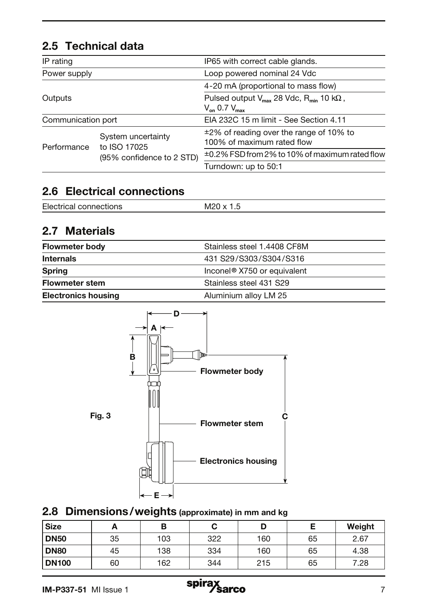# 2.5 Technical data

| IP rating    |                                    | IP65 with correct cable glands.                                                                                                          |  |                    |
|--------------|------------------------------------|------------------------------------------------------------------------------------------------------------------------------------------|--|--------------------|
| Power supply |                                    | Loop powered nominal 24 Vdc                                                                                                              |  |                    |
| Outputs      |                                    | 4-20 mA (proportional to mass flow)<br>Pulsed output $V_{\text{max}}$ 28 Vdc, R <sub>min</sub> 10 k $\Omega$ ,<br>$V_{on}$ 0.7 $V_{max}$ |  |                    |
|              |                                    |                                                                                                                                          |  | Communication port |
| Performance  | System uncertainty<br>to ISO 17025 | $\pm 2\%$ of reading over the range of 10% to<br>100% of maximum rated flow                                                              |  |                    |
|              | (95% confidence to 2 STD)          | ±0.2% FSD from 2% to 10% of maximum rated flow                                                                                           |  |                    |
|              |                                    | Turndown: up to 50:1                                                                                                                     |  |                    |

# 2.6 Electrical connections

| $\overline{\phantom{a}}$<br>FIF.<br>11 I GA<br>.<br>ن. ا<br>∸<br>. |  |
|--------------------------------------------------------------------|--|
|--------------------------------------------------------------------|--|

# 2.7 Materials

| <b>Flowmeter body</b>      | Stainless steel 1.4408 CF8M             |
|----------------------------|-----------------------------------------|
| <b>Internals</b>           | 431 S29/S303/S304/S316                  |
| <b>Spring</b>              | Inconel <sup>®</sup> X750 or equivalent |
| <b>Flowmeter stem</b>      | Stainless steel 431 S29                 |
| <b>Electronics housing</b> | Aluminium alloy LM 25                   |



# 2.8 Dimensions/weights (approximate) in mm and kg

| <b>Size</b>  | <u>_</u> | В   |     | D   |    | Weight |
|--------------|----------|-----|-----|-----|----|--------|
| <b>DN50</b>  | 35       | 103 | 322 | 160 | 65 | 2.67   |
| <b>DN80</b>  | 45       | 138 | 334 | 160 | 65 | 4.38   |
| <b>DN100</b> | 60       | 162 | 344 | 215 | 65 | 7.28   |

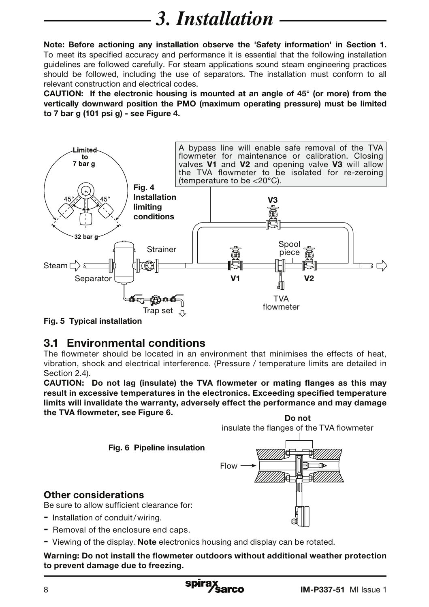# *3. Installation*

Note: Before actioning any installation observe the 'Safety information' in Section 1. To meet its specified accuracy and performance it is essential that the following installation guidelines are followed carefully. For steam applications sound steam engineering practices should be followed, including the use of separators. The installation must conform to all relevant construction and electrical codes.

CAUTION: If the electronic housing is mounted at an angle of 45° (or more) from the vertically downward position the PMO (maximum operating pressure) must be limited to 7 bar g (101 psi g) - see Figure 4.



Fig. 5 Typical installation

# 3.1 Environmental conditions

The flowmeter should be located in an environment that minimises the effects of heat, vibration, shock and electrical interference. (Pressure / temperature limits are detailed in Section 2.4).

CAUTION: Do not lag (insulate) the TVA flowmeter or mating flanges as this may result in excessive temperatures in the electronics. Exceeding specified temperature limits will invalidate the warranty, adversely effect the performance and may damage the TVA flowmeter, see Figure 6. Do not



- Viewing of the display. **Note** electronics housing and display can be rotated.

Warning: Do not install the flowmeter outdoors without additional weather protection to prevent damage due to freezing.

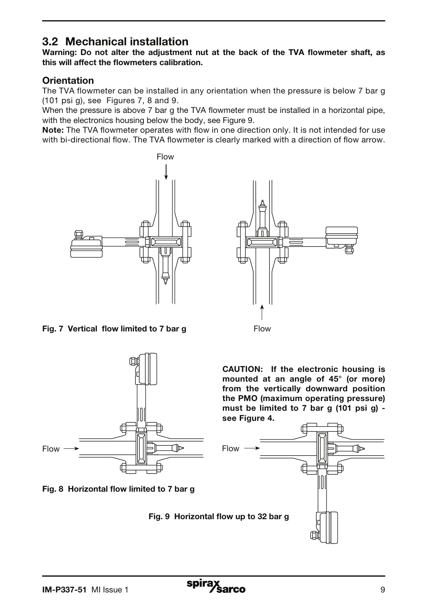# 3.2 Mechanical installation

Warning: Do not alter the adjustment nut at the back of the TVA flowmeter shaft, as this will affect the flowmeters calibration.

### **Orientation**

The TVA flowmeter can be installed in any orientation when the pressure is below 7 bar g (101 psi g), see Figures 7, 8 and 9.

When the pressure is above 7 bar g the TVA flowmeter must be installed in a horizontal pipe, with the electronics housing below the body, see Figure 9.

Note: The TVA flowmeter operates with flow in one direction only. It is not intended for use with bi-directional flow. The TVA flowmeter is clearly marked with a direction of flow arrow.





Fig. 7 Vertical flow limited to 7 bar g





Fig. 9 Horizontal flow up to 32 bar g

CAUTION: If the electronic housing is mounted at an angle of 45° (or more) from the vertically downward position the PMO (maximum operating pressure) must be limited to 7 bar g (101 psi g) see Figure 4.

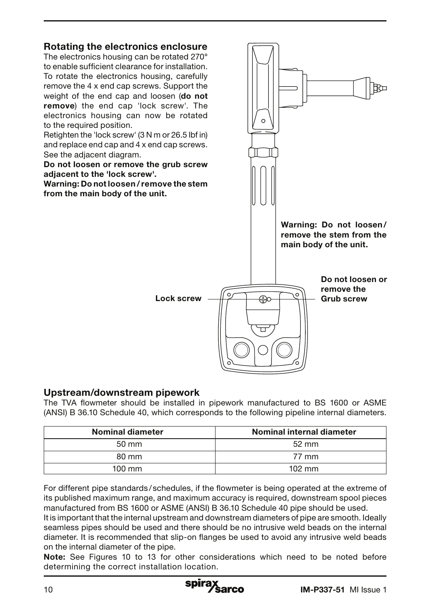

#### Upstream/downstream pipework

The TVA flowmeter should be installed in pipework manufactured to BS 1600 or ASME (ANSI) B 36.10 Schedule 40, which corresponds to the following pipeline internal diameters.

| <b>Nominal diameter</b> | Nominal internal diameter |
|-------------------------|---------------------------|
| $50 \text{ mm}$         | $52 \text{ mm}$           |
| 80 mm                   | 77 mm                     |
| $100 \text{ mm}$        | $102 \text{ mm}$          |

For different pipe standards / schedules, if the flowmeter is being operated at the extreme of its published maximum range, and maximum accuracy is required, downstream spool pieces manufactured from BS 1600 or ASME (ANSI) B 36.10 Schedule 40 pipe should be used.

It is important that the internal upstream and downstream diameters of pipe are smooth. Ideally seamless pipes should be used and there should be no intrusive weld beads on the internal diameter. It is recommended that slip-on flanges be used to avoid any intrusive weld beads on the internal diameter of the pipe.

Note: See Figures 10 to 13 for other considerations which need to be noted before determining the correct installation location.

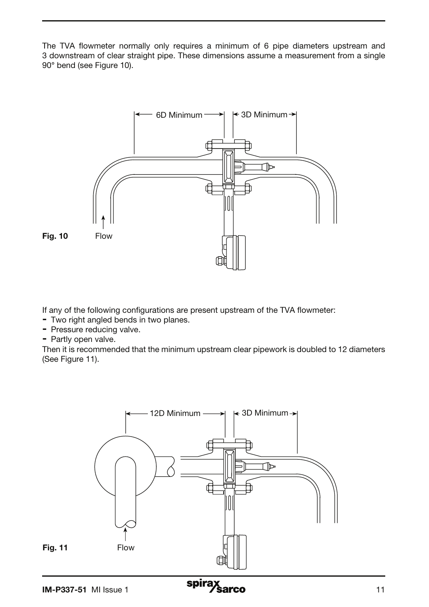The TVA flowmeter normally only requires a minimum of 6 pipe diameters upstream and 3 downstream of clear straight pipe. These dimensions assume a measurement from a single 90° bend (see Figure 10).



If any of the following configurations are present upstream of the TVA flowmeter:

- Two right angled bends in two planes.
- Pressure reducing valve.
- Partly open valve.

Then it is recommended that the minimum upstream clear pipework is doubled to 12 diameters (See Figure 11).

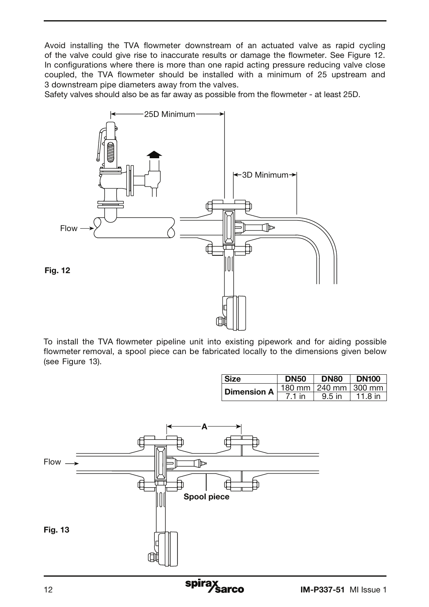Avoid installing the TVA flowmeter downstream of an actuated valve as rapid cycling of the valve could give rise to inaccurate results or damage the flowmeter. See Figure 12. In configurations where there is more than one rapid acting pressure reducing valve close coupled, the TVA flowmeter should be installed with a minimum of 25 upstream and 3 downstream pipe diameters away from the valves.

Safety valves should also be as far away as possible from the flowmeter - at least 25D.



To install the TVA flowmeter pipeline unit into existing pipework and for aiding possible flowmeter removal, a spool piece can be fabricated locally to the dimensions given below (see Figure 13).

|                    | DN50  | <b>DN80</b>              | <b>DN100</b> |
|--------------------|-------|--------------------------|--------------|
| <b>Dimension A</b> |       | 180 mm   240 mm   300 mm |              |
|                    | 71 in | $9.5$ in                 | 11 8 in      |

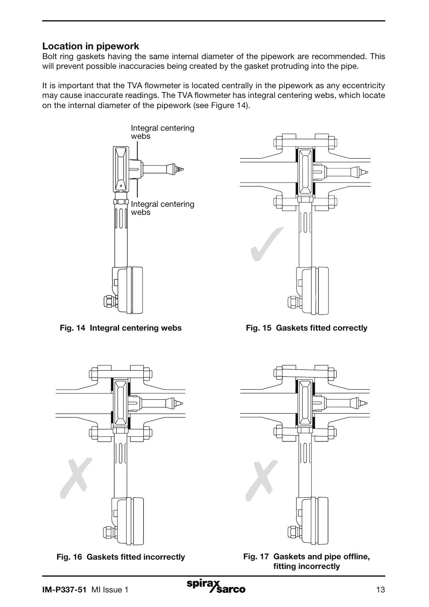## Location in pipework

Bolt ring gaskets having the same internal diameter of the pipework are recommended. This will prevent possible inaccuracies being created by the gasket protruding into the pipe.

It is important that the TVA flowmeter is located centrally in the pipework as any eccentricity may cause inaccurate readings. The TVA flowmeter has integral centering webs, which locate on the internal diameter of the pipework (see Figure 14).



Fig. 14 Integral centering webs



Fig. 16 Gaskets fitted incorrectly



Fig. 15 Gaskets fitted correctly



Fig. 17 Gaskets and pipe offline, fitting incorrectly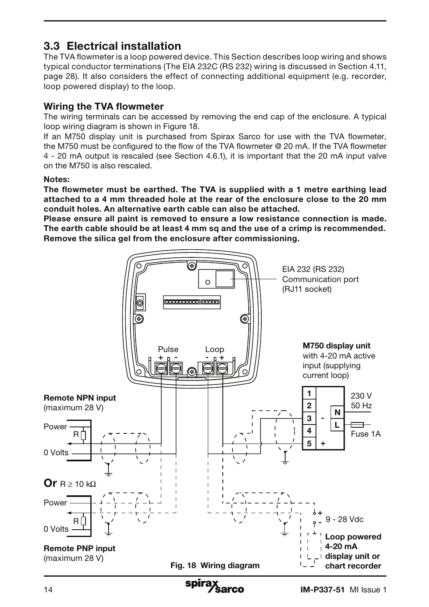# 3.3 Electrical installation

The TVA flowmeter is a loop powered device. This Section describes loop wiring and shows typical conductor terminations (The EIA 232C (RS 232) wiring is discussed in Section 4.11, page 28). It also considers the effect of connecting additional equipment (e.g. recorder, loop powered display) to the loop.

## Wiring the TVA flowmeter

The wiring terminals can be accessed by removing the end cap of the enclosure. A typical loop wiring diagram is shown in Figure 18.

If an M750 display unit is purchased from Spirax Sarco for use with the TVA flowmeter, the M750 must be configured to the flow of the TVA flowmeter @ 20 mA. If the TVA flowmeter 4 - 20 mA output is rescaled (see Section 4.6.1), it is important that the 20 mA input valve on the M750 is also rescaled.

#### Notes:

The flowmeter must be earthed. The TVA is supplied with a 1 metre earthing lead attached to a 4 mm threaded hole at the rear of the enclosure close to the 20 mm conduit holes. An alternative earth cable can also be attached.

Please ensure all paint is removed to ensure a low resistance connection is made. The earth cable should be at least 4 mm sq and the use of a crimp is recommended. Remove the silica gel from the enclosure after commissioning.

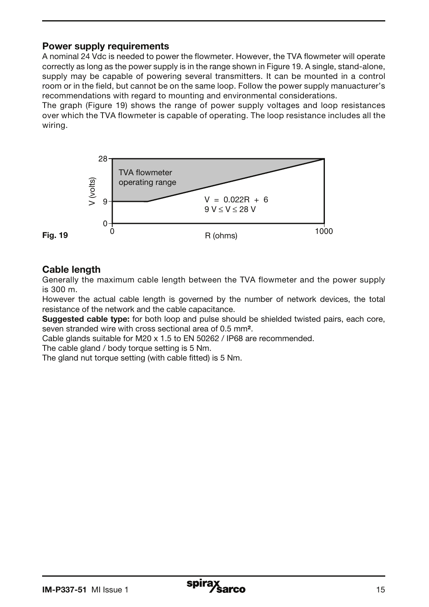## Power supply requirements

A nominal 24 Vdc is needed to power the flowmeter. However, the TVA flowmeter will operate correctly as long as the power supply is in the range shown in Figure 19. A single, stand-alone, supply may be capable of powering several transmitters. It can be mounted in a control room or in the field, but cannot be on the same loop. Follow the power supply manuacturer's recommendations with regard to mounting and environmental considerations.

The graph (Figure 19) shows the range of power supply voltages and loop resistances over which the TVA flowmeter is capable of operating. The loop resistance includes all the wiring.



# Cable length

Generally the maximum cable length between the TVA flowmeter and the power supply is 300 m.

However the actual cable length is governed by the number of network devices, the total resistance of the network and the cable capacitance.

Suggested cable type: for both loop and pulse should be shielded twisted pairs, each core, seven stranded wire with cross sectional area of 0.5 mm².

Cable glands suitable for M20 x 1.5 to EN 50262 / IP68 are recommended.

The cable gland / body torque setting is 5 Nm.

The gland nut torque setting (with cable fitted) is 5 Nm.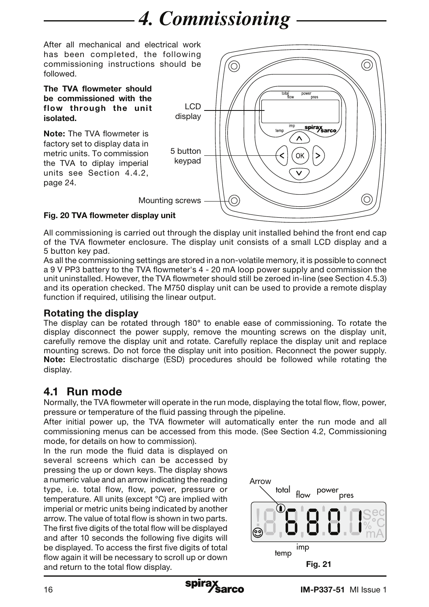# *4. Commissioning*

After all mechanical and electrical work has been completed, the following commissioning instructions should be followed.

#### The TVA flowmeter should be commissioned with the flow through the unit isolated.

Note: The TVA flowmeter is factory set to display data in metric units. To commission the TVA to diplay imperial units see Section 4.4.2, page 24.



## Fig. 20 TVA flowmeter display unit

All commissioning is carried out through the display unit installed behind the front end cap of the TVA flowmeter enclosure. The display unit consists of a small LCD display and a 5 button key pad.

As all the commissioning settings are stored in a non-volatile memory, it is possible to connect a 9 V PP3 battery to the TVA flowmeter's 4 - 20 mA loop power supply and commission the unit uninstalled. However, the TVA flowmeter should still be zeroed in-line (see Section 4.5.3) and its operation checked. The M750 display unit can be used to provide a remote display function if required, utilising the linear output.

## Rotating the display

The display can be rotated through 180° to enable ease of commissioning. To rotate the display disconnect the power supply, remove the mounting screws on the display unit, carefully remove the display unit and rotate. Carefully replace the display unit and replace mounting screws. Do not force the display unit into position. Reconnect the power supply. Note: Electrostatic discharge (ESD) procedures should be followed while rotating the display.

# 4.1 Run mode

Normally, the TVA flowmeter will operate in the run mode, displaying the total flow, flow, power, pressure or temperature of the fluid passing through the pipeline.

After initial power up, the TVA flowmeter will automatically enter the run mode and all commissioning menus can be accessed from this mode. (See Section 4.2, Commissioning mode, for details on how to commission).

In the run mode the fluid data is displayed on several screens which can be accessed by pressing the up or down keys. The display shows a numeric value and an arrow indicating the reading type, i.e. total flow, flow, power, pressure or temperature. All units (except °C) are implied with imperial or metric units being indicated by another arrow. The value of total flow is shown in two parts. The first five digits of the total flow will be displayed and after 10 seconds the following five digits will be displayed. To access the first five digits of total flow again it will be necessary to scroll up or down and return to the total flow display.



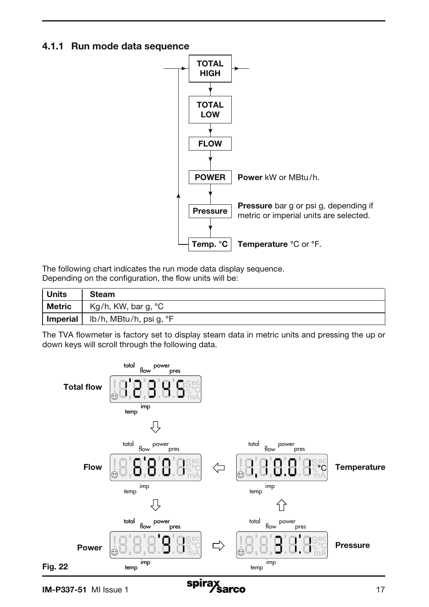#### 4.1.1 Run mode data sequence



The following chart indicates the run mode data display sequence. Depending on the configuration, the flow units will be:

| <sup>∣</sup> Units | <b>Steam</b>              |
|--------------------|---------------------------|
| Metric             | Kg/h, KW, bar g, °C       |
| Imperial           | ∣ lb/h, MBtu/h, psi g, °F |

The TVA flowmeter is factory set to display steam data in metric units and pressing the up or down keys will scroll through the following data.

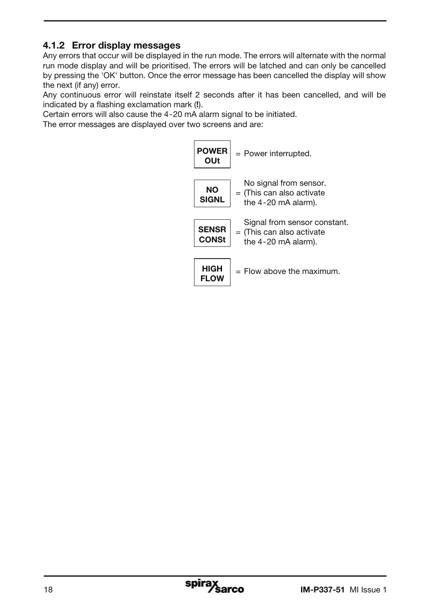# 4.1.2 Error display messages

Any errors that occur will be displayed in the run mode. The errors will alternate with the normal run mode display and will be prioritised. The errors will be latched and can only be cancelled by pressing the 'OK' button. Once the error message has been cancelled the display will show the next (if any) error.

Any continuous error will reinstate itself 2 seconds after it has been cancelled, and will be indicated by a flashing exclamation mark (!).

Certain errors will also cause the 4-20 mA alarm signal to be initiated.

The error messages are displayed over two screens and are:

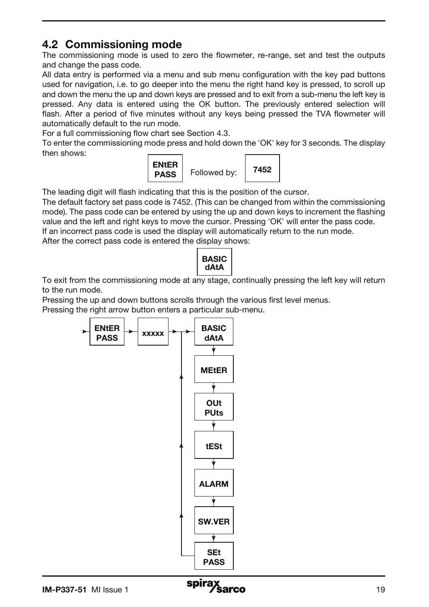# 4.2 Commissioning mode

The commissioning mode is used to zero the flowmeter, re-range, set and test the outputs and change the pass code.

All data entry is performed via a menu and sub menu configuration with the key pad buttons used for navigation, i.e. to go deeper into the menu the right hand key is pressed, to scroll up and down the menu the up and down keys are pressed and to exit from a sub-menu the left key is pressed. Any data is entered using the OK button. The previously entered selection will flash. After a period of five minutes without any keys being pressed the TVA flowmeter will automatically default to the run mode.

For a full commissioning flow chart see Section 4.3.

To enter the commissioning mode press and hold down the 'OK' key for 3 seconds. The display then shows:



The leading digit will flash indicating that this is the position of the cursor.

The default factory set pass code is 7452. (This can be changed from within the commissioning mode). The pass code can be entered by using the up and down keys to increment the flashing value and the left and right keys to move the cursor. Pressing 'OK' will enter the pass code. If an incorrect pass code is used the display will automatically return to the run mode.

After the correct pass code is entered the display shows:

| BASIC<br>dAIA |
|---------------|
|---------------|

To exit from the commissioning mode at any stage, continually pressing the left key will return to the run mode.

Pressing the up and down buttons scrolls through the various first level menus.

Pressing the right arrow button enters a particular sub-menu.



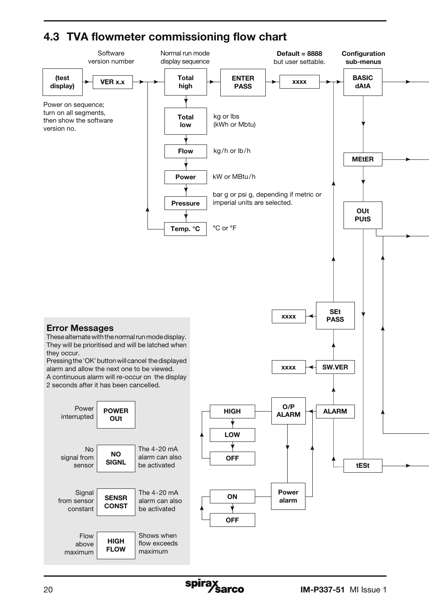# 4.3 TVA flowmeter commissioning flow chart

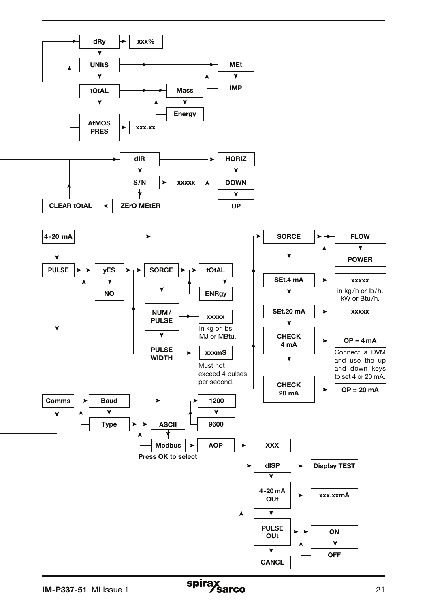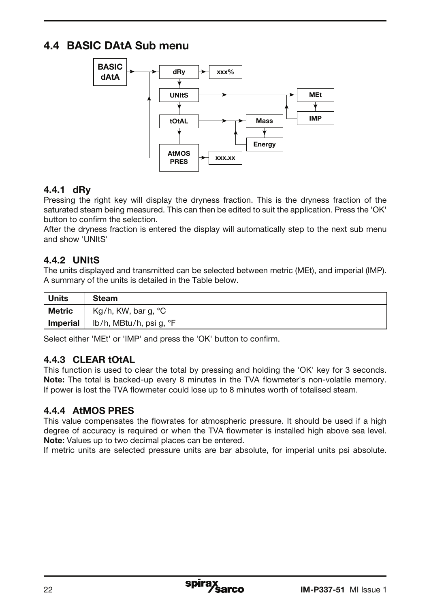# 4.4 BASIC DAtA Sub menu



## 4.4.1 dRy

Pressing the right key will display the dryness fraction. This is the dryness fraction of the saturated steam being measured. This can then be edited to suit the application. Press the 'OK' button to confirm the selection.

After the dryness fraction is entered the display will automatically step to the next sub menu and show 'UNItS'

## 4.4.2 UNItS

The units displayed and transmitted can be selected between metric (MEt), and imperial (IMP). A summary of the units is detailed in the Table below.

| ∣ Units  | <b>Steam</b>            |
|----------|-------------------------|
| ∣ Metric | Kg/h, KW, bar g, $°C$   |
| Imperial | lb/h, MBtu/h, psi g, °F |

Select either 'MEt' or 'IMP' and press the 'OK' button to confirm.

## 4.4.3 CLEAR tOtAL

This function is used to clear the total by pressing and holding the 'OK' key for 3 seconds. Note: The total is backed-up every 8 minutes in the TVA flowmeter's non-volatile memory. If power is lost the TVA flowmeter could lose up to 8 minutes worth of totalised steam.

## 4.4.4 AtMOS PRES

This value compensates the flowrates for atmospheric pressure. It should be used if a high degree of accuracy is required or when the TVA flowmeter is installed high above sea level. Note: Values up to two decimal places can be entered.

If metric units are selected pressure units are bar absolute, for imperial units psi absolute.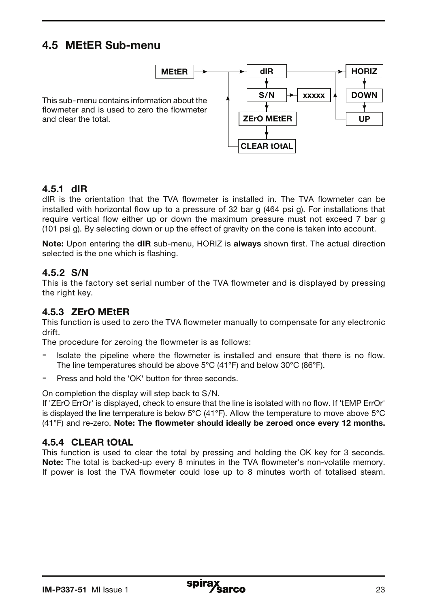# 4.5 MEtER Sub-menu



### 4.5.1 dIR

and clear the total.

dIR is the orientation that the TVA flowmeter is installed in. The TVA flowmeter can be installed with horizontal flow up to a pressure of 32 bar g (464 psi g). For installations that require vertical flow either up or down the maximum pressure must not exceed 7 bar g (101 psi g). By selecting down or up the effect of gravity on the cone is taken into account.

Note: Upon entering the dIR sub-menu, HORIZ is always shown first. The actual direction selected is the one which is flashing.

#### 4.5.2 S/N

This is the factory set serial number of the TVA flowmeter and is displayed by pressing the right key.

### 4.5.3 ZErO MEtER

This function is used to zero the TVA flowmeter manually to compensate for any electronic drift.

The procedure for zeroing the flowmeter is as follows:

- Isolate the pipeline where the flowmeter is installed and ensure that there is no flow. The line temperatures should be above 5°C (41°F) and below 30°C (86°F).
- Press and hold the 'OK' button for three seconds.

On completion the display will step back to S/N.

If 'ZErO ErrOr' is displayed, check to ensure that the line is isolated with no flow. If 'tEMP ErrOr' is displayed the line temperature is below 5°C (41°F). Allow the temperature to move above 5°C (41°F) and re-zero. Note: The flowmeter should ideally be zeroed once every 12 months.

#### 4.5.4 CLEAR tOtAL

This function is used to clear the total by pressing and holding the OK key for 3 seconds. Note: The total is backed-up every 8 minutes in the TVA flowmeter's non-volatile memory. If power is lost the TVA flowmeter could lose up to 8 minutes worth of totalised steam.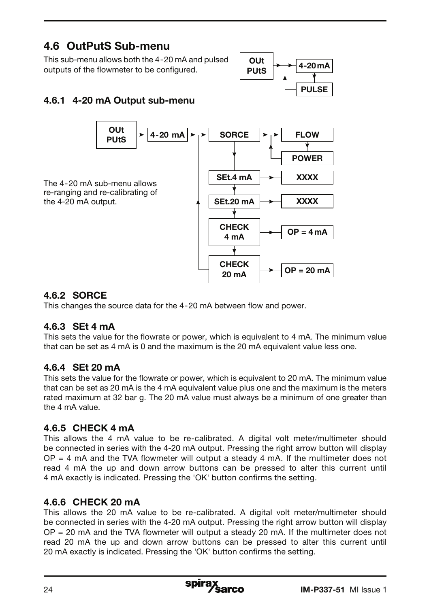# 4.6 OutPutS Sub-menu

This sub-menu allows both the 4-20 mA and pulsed outputs of the flowmeter to be configured.



# 4.6.1 4-20 mA Output sub-menu



## 4.6.2 SORCE

This changes the source data for the 4-20 mA between flow and power.

## 4.6.3 SEt 4 mA

This sets the value for the flowrate or power, which is equivalent to 4 mA. The minimum value that can be set as 4 mA is 0 and the maximum is the 20 mA equivalent value less one.

## 4.6.4 SEt 20 mA

This sets the value for the flowrate or power, which is equivalent to 20 mA. The minimum value that can be set as 20 mA is the 4 mA equivalent value plus one and the maximum is the meters rated maximum at 32 bar g. The 20 mA value must always be a minimum of one greater than the 4 mA value.

## 4.6.5 CHECK 4 mA

This allows the 4 mA value to be re-calibrated. A digital volt meter/multimeter should be connected in series with the 4-20 mA output. Pressing the right arrow button will display  $OP = 4$  mA and the TVA flowmeter will output a steady  $4$  mA. If the multimeter does not read 4 mA the up and down arrow buttons can be pressed to alter this current until 4 mA exactly is indicated. Pressing the 'OK' button confirms the setting.

## 4.6.6 CHECK 20 mA

This allows the 20 mA value to be re-calibrated. A digital volt meter/multimeter should be connected in series with the 4-20 mA output. Pressing the right arrow button will display  $OP = 20$  mA and the TVA flowmeter will output a steady 20 mA. If the multimeter does not read 20 mA the up and down arrow buttons can be pressed to alter this current until 20 mA exactly is indicated. Pressing the 'OK' button confirms the setting.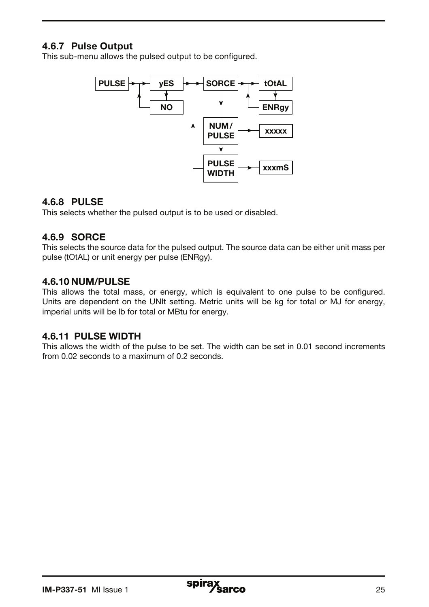## 4.6.7 Pulse Output

This sub-menu allows the pulsed output to be configured.



#### 4.6.8 PULSE

This selects whether the pulsed output is to be used or disabled.

#### 4.6.9 SORCE

This selects the source data for the pulsed output. The source data can be either unit mass per pulse (tOtAL) or unit energy per pulse (ENRgy).

### 4.6.10 NUM/PULSE

This allows the total mass, or energy, which is equivalent to one pulse to be configured. Units are dependent on the UNIt setting. Metric units will be kg for total or MJ for energy, imperial units will be lb for total or MBtu for energy.

### 4.6.11 PULSE WIDTH

This allows the width of the pulse to be set. The width can be set in 0.01 second increments from 0.02 seconds to a maximum of 0.2 seconds.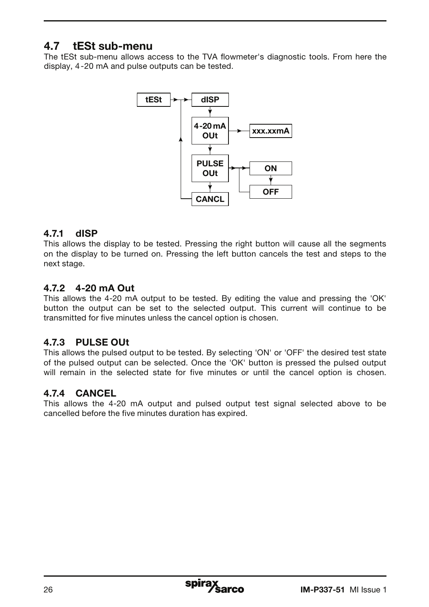# 4.7 tESt sub-menu

The tESt sub-menu allows access to the TVA flowmeter's diagnostic tools. From here the display, 4-20 mA and pulse outputs can be tested.



### 4.7.1 dISP

This allows the display to be tested. Pressing the right button will cause all the segments on the display to be turned on. Pressing the left button cancels the test and steps to the next stage.

## 4.7.2 4-20 mA Out

This allows the 4-20 mA output to be tested. By editing the value and pressing the 'OK' button the output can be set to the selected output. This current will continue to be transmitted for five minutes unless the cancel option is chosen.

## 4.7.3 PULSE OUt

This allows the pulsed output to be tested. By selecting 'ON' or 'OFF' the desired test state of the pulsed output can be selected. Once the 'OK' button is pressed the pulsed output will remain in the selected state for five minutes or until the cancel option is chosen.

## 4.7.4 CANCEL

This allows the 4-20 mA output and pulsed output test signal selected above to be cancelled before the five minutes duration has expired.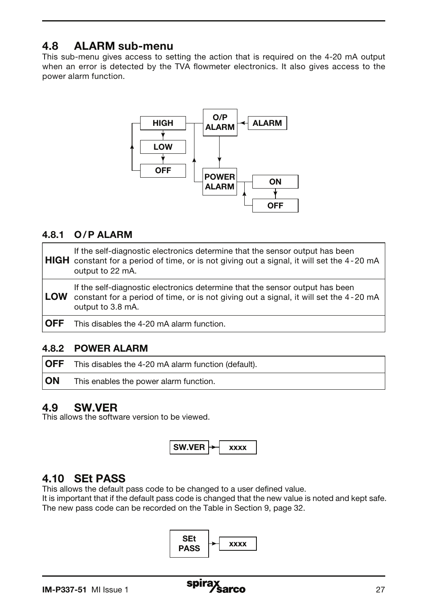# 4.8 ALARM sub-menu

This sub-menu gives access to setting the action that is required on the 4-20 mA output when an error is detected by the TVA flowmeter electronics. It also gives access to the power alarm function.



## 4.8.1 O/P ALARM

|            | If the self-diagnostic electronics determine that the sensor output has been<br><b>HIGH</b> constant for a period of time, or is not giving out a signal, it will set the 4-20 mA<br>output to 22 mA. |
|------------|-------------------------------------------------------------------------------------------------------------------------------------------------------------------------------------------------------|
| <b>LOW</b> | If the self-diagnostic electronics determine that the sensor output has been<br>constant for a period of time, or is not giving out a signal, it will set the 4-20 mA<br>output to 3.8 mA.            |
| <b>OFF</b> | This disables the 4-20 mA alarm function.                                                                                                                                                             |

### 4.8.2 POWER ALARM

| ∣OFF | This disables the 4-20 mA alarm function (default). |
|------|-----------------------------------------------------|
| ∣ON  | This enables the power alarm function.              |

## 4.9 SW.VER

This allows the software version to be viewed.



## 4.10 SEt PASS

This allows the default pass code to be changed to a user defined value.

It is important that if the default pass code is changed that the new value is noted and kept safe. The new pass code can be recorded on the Table in Section 9, page 32.

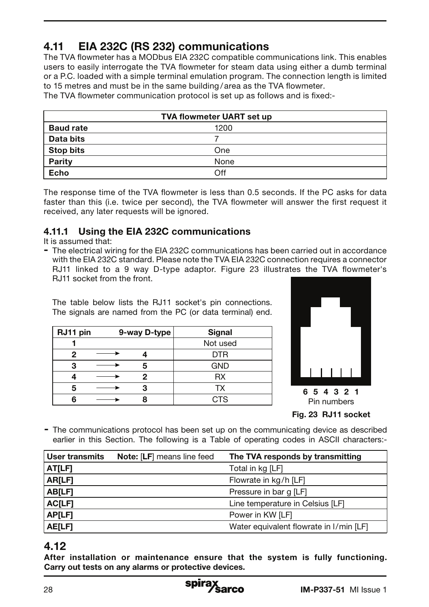# 4.11 EIA 232C (RS 232) communications

The TVA flowmeter has a MODbus EIA 232C compatible communications link. This enables users to easily interrogate the TVA flowmeter for steam data using either a dumb terminal or a P.C. loaded with a simple terminal emulation program. The connection length is limited to 15 metres and must be in the same building / area as the TVA flowmeter.

The TVA flowmeter communication protocol is set up as follows and is fixed:-

| TVA flowmeter UART set up |      |  |  |
|---------------------------|------|--|--|
| <b>Baud rate</b>          | 1200 |  |  |
| Data bits                 |      |  |  |
| <b>Stop bits</b>          | One  |  |  |
| Parity                    | None |  |  |
| Echo                      | Off  |  |  |

The response time of the TVA flowmeter is less than 0.5 seconds. If the PC asks for data faster than this (i.e. twice per second), the TVA flowmeter will answer the first request it received, any later requests will be ignored.

## 4.11.1 Using the EIA 232C communications

It is assumed that:

- The electrical wiring for the EIA 232C communications has been carried out in accordance with the EIA 232C standard. Please note the TVA EIA 232C connection requires a connector RJ11 linked to a 9 way D-type adaptor. Figure 23 illustrates the TVA flowmeter's RJ11 socket from the front.

The table below lists the RJ11 socket's pin connections. The signals are named from the PC (or data terminal) end.

| RJ11 pin | 9-way D-type | Signal     |
|----------|--------------|------------|
|          |              | Not used   |
|          |              | <b>DTR</b> |
| ≏        |              | <b>GND</b> |
|          |              | RX         |
|          |              | тх         |
|          |              | CTS        |



- The communications protocol has been set up on the communicating device as described earlier in this Section. The following is a Table of operating codes in ASCII characters:-

| User transmits | <b>Note: [LF]</b> means line feed | The TVA responds by transmitting        |
|----------------|-----------------------------------|-----------------------------------------|
| AT[LF]         |                                   | Total in kg [LF]                        |
| AR[LF]         |                                   | Flowrate in kg/h [LF]                   |
| AB[LF]         |                                   | Pressure in bar g [LF]                  |
| <b>ACILFI</b>  |                                   | Line temperature in Celsius [LF]        |
| AP[LF]         |                                   | Power in KW [LF]                        |
| AE[LF]         |                                   | Water equivalent flowrate in I/min [LF] |

## 4.12

After installation or maintenance ensure that the system is fully functioning. Carry out tests on any alarms or protective devices.

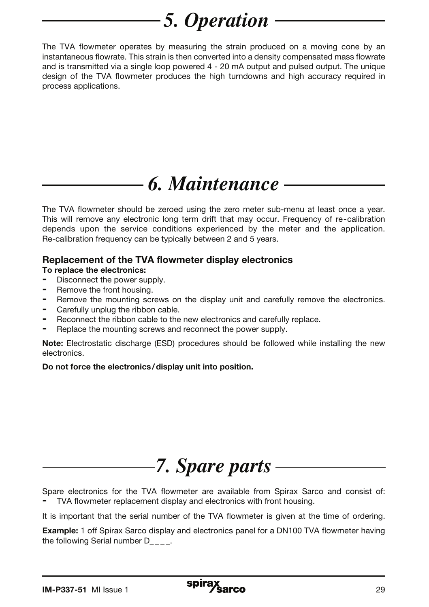# *5. Operation*

The TVA flowmeter operates by measuring the strain produced on a moving cone by an instantaneous flowrate. This strain is then converted into a density compensated mass flowrate and is transmitted via a single loop powered 4 - 20 mA output and pulsed output. The unique design of the TVA flowmeter produces the high turndowns and high accuracy required in process applications.

# *6. Maintenance*

The TVA flowmeter should be zeroed using the zero meter sub-menu at least once a year. This will remove any electronic long term drift that may occur. Frequency of re-calibration depends upon the service conditions experienced by the meter and the application. Re-calibration frequency can be typically between 2 and 5 years.

### Replacement of the TVA flowmeter display electronics

#### To replace the electronics:

- Disconnect the power supply.
- Remove the front housing.
- Remove the mounting screws on the display unit and carefully remove the electronics.
- Carefully unplug the ribbon cable.
- Reconnect the ribbon cable to the new electronics and carefully replace.
- Replace the mounting screws and reconnect the power supply.

Note: Electrostatic discharge (ESD) procedures should be followed while installing the new electronics.

Do not force the electronics/display unit into position.



Spare electronics for the TVA flowmeter are available from Spirax Sarco and consist of: TVA flowmeter replacement display and electronics with front housing.

It is important that the serial number of the TVA flowmeter is given at the time of ordering.

**Example:** 1 off Spirax Sarco display and electronics panel for a DN100 TVA flowmeter having the following Serial number  $D_{\text{max}}$ .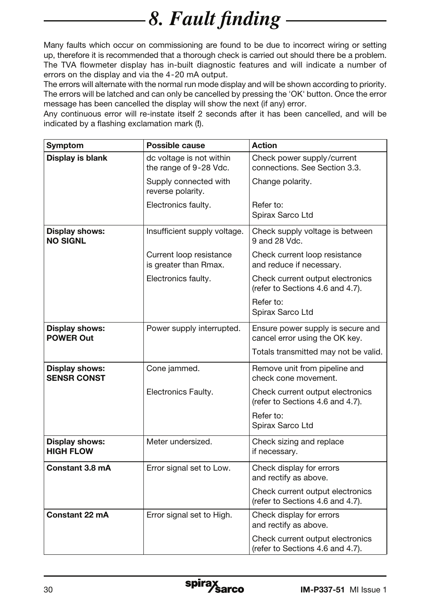# *8. Fault finding -*

Many faults which occur on commissioning are found to be due to incorrect wiring or setting up, therefore it is recommended that a thorough check is carried out should there be a problem. The TVA flowmeter display has in-built diagnostic features and will indicate a number of errors on the display and via the 4-20 mA output.

The errors will alternate with the normal run mode display and will be shown according to priority. The errors will be latched and can only be cancelled by pressing the 'OK' button. Once the error message has been cancelled the display will show the next (if any) error.

Any continuous error will re-instate itself 2 seconds after it has been cancelled, and will be indicated by a flashing exclamation mark (!).

| Symptom                                   | Possible cause                                     | <b>Action</b>                                                        |  |
|-------------------------------------------|----------------------------------------------------|----------------------------------------------------------------------|--|
| Display is blank                          | dc voltage is not within<br>the range of 9-28 Vdc. | Check power supply/current<br>connections. See Section 3.3.          |  |
|                                           | Supply connected with<br>reverse polarity.         | Change polarity.                                                     |  |
|                                           | Electronics faulty.                                | Refer to:<br>Spirax Sarco Ltd                                        |  |
| Display shows:<br><b>NO SIGNL</b>         | Insufficient supply voltage.                       | Check supply voltage is between<br>9 and 28 Vdc.                     |  |
|                                           | Current loop resistance<br>is greater than Rmax.   | Check current loop resistance<br>and reduce if necessary.            |  |
|                                           | Electronics faulty.                                | Check current output electronics<br>(refer to Sections 4.6 and 4.7). |  |
|                                           |                                                    | Refer to:<br>Spirax Sarco Ltd                                        |  |
| Display shows:<br><b>POWER Out</b>        | Power supply interrupted.                          | Ensure power supply is secure and<br>cancel error using the OK key.  |  |
|                                           |                                                    | Totals transmitted may not be valid.                                 |  |
| Display shows:<br><b>SENSR CONST</b>      | Cone jammed.                                       | Remove unit from pipeline and<br>check cone movement.                |  |
|                                           | Electronics Faulty.                                | Check current output electronics<br>(refer to Sections 4.6 and 4.7). |  |
|                                           |                                                    | Refer to:<br>Spirax Sarco Ltd                                        |  |
| <b>Display shows:</b><br><b>HIGH FLOW</b> | Meter undersized.                                  | Check sizing and replace<br>if necessary.                            |  |
| Constant 3.8 mA                           | Error signal set to Low.                           | Check display for errors<br>and rectify as above.                    |  |
|                                           |                                                    | Check current output electronics<br>(refer to Sections 4.6 and 4.7). |  |
| Constant 22 mA                            | Error signal set to High.                          | Check display for errors<br>and rectify as above.                    |  |
|                                           |                                                    | Check current output electronics<br>(refer to Sections 4.6 and 4.7). |  |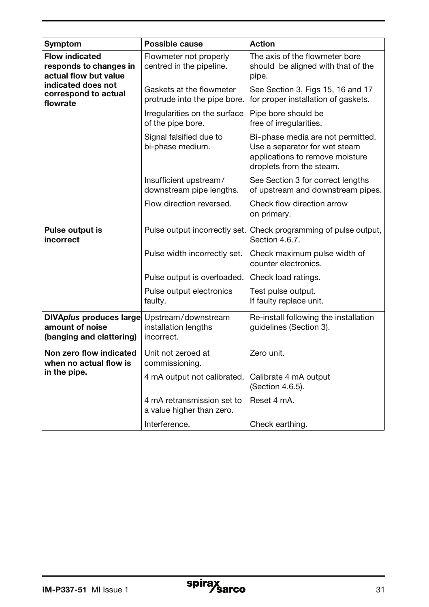| Symptom                                                                  | Possible cause                                            | <b>Action</b>                                                                                                                     |
|--------------------------------------------------------------------------|-----------------------------------------------------------|-----------------------------------------------------------------------------------------------------------------------------------|
| <b>Flow indicated</b><br>responds to changes in<br>actual flow but value | Flowmeter not properly<br>centred in the pipeline.        | The axis of the flowmeter bore<br>should be aligned with that of the<br>pipe.                                                     |
| indicated does not<br>correspond to actual<br>flowrate                   | Gaskets at the flowmeter<br>protrude into the pipe bore.  | See Section 3, Figs 15, 16 and 17<br>for proper installation of gaskets.                                                          |
|                                                                          | Irregularities on the surface<br>of the pipe bore.        | Pipe bore should be<br>free of irregularities.                                                                                    |
|                                                                          | Signal falsified due to<br>bi-phase medium.               | Bi-phase media are not permitted.<br>Use a separator for wet steam<br>applications to remove moisture<br>droplets from the steam. |
|                                                                          | Insufficient upstream/<br>downstream pipe lengths.        | See Section 3 for correct lengths<br>of upstream and downstream pipes.                                                            |
|                                                                          | Flow direction reversed.                                  | Check flow direction arrow<br>on primary.                                                                                         |
| Pulse output is<br>incorrect                                             | Pulse output incorrectly set.                             | Check programming of pulse output,<br>Section 4.6.7.                                                                              |
|                                                                          | Pulse width incorrectly set.                              | Check maximum pulse width of<br>counter electronics.                                                                              |
|                                                                          | Pulse output is overloaded.                               | Check load ratings.                                                                                                               |
|                                                                          | Pulse output electronics<br>faulty.                       | Test pulse output.<br>If faulty replace unit.                                                                                     |
| DIVAplus produces large<br>amount of noise<br>(banging and clattering)   | Upstream/downstream<br>installation lengths<br>incorrect. | Re-install following the installation<br>guidelines (Section 3).                                                                  |
| Non zero flow indicated<br>when no actual flow is                        | Unit not zeroed at<br>commissioning.                      | Zero unit.                                                                                                                        |
| in the pipe.                                                             | 4 mA output not calibrated.                               | Calibrate 4 mA output<br>(Section 4.6.5).                                                                                         |
|                                                                          | 4 mA retransmission set to<br>a value higher than zero.   | Reset 4 mA.                                                                                                                       |
|                                                                          | Interference.                                             | Check earthing.                                                                                                                   |